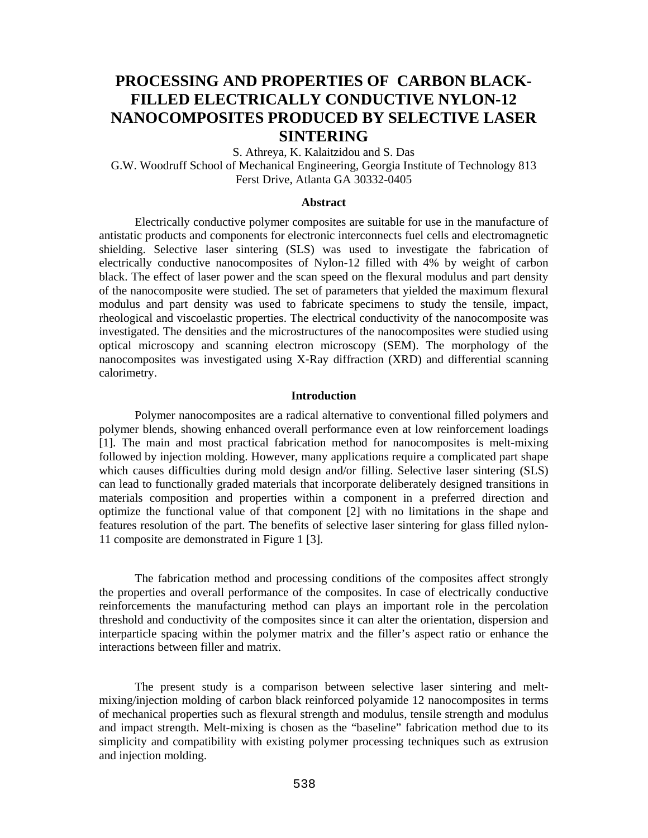# **PROCESSING AND PROPERTIES OF CARBON BLACK-FILLED ELECTRICALLY CONDUCTIVE NYLON-12 NANOCOMPOSITES PRODUCED BY SELECTIVE LASER SINTERING**

S. Athreya, K. Kalaitzidou and S. Das

G.W. Woodruff School of Mechanical Engineering, Georgia Institute of Technology 813 Ferst Drive, Atlanta GA 30332-0405

#### **Abstract**

Electrically conductive polymer composites are suitable for use in the manufacture of antistatic products and components for electronic interconnects fuel cells and electromagnetic shielding. Selective laser sintering (SLS) was used to investigate the fabrication of electrically conductive nanocomposites of Nylon-12 filled with 4% by weight of carbon black. The effect of laser power and the scan speed on the flexural modulus and part density of the nanocomposite were studied. The set of parameters that yielded the maximum flexural modulus and part density was used to fabricate specimens to study the tensile, impact, rheological and viscoelastic properties. The electrical conductivity of the nanocomposite was investigated. The densities and the microstructures of the nanocomposites were studied using optical microscopy and scanning electron microscopy (SEM). The morphology of the nanocomposites was investigated using X-Ray diffraction (XRD) and differential scanning calorimetry.

# **Introduction**

 Polymer nanocomposites are a radical alternative to conventional filled polymers and polymer blends, showing enhanced overall performance even at low reinforcement loadings [1]. The main and most practical fabrication method for nanocomposites is melt-mixing followed by injection molding. However, many applications require a complicated part shape which causes difficulties during mold design and/or filling. Selective laser sintering (SLS) can lead to functionally graded materials that incorporate deliberately designed transitions in materials composition and properties within a component in a preferred direction and optimize the functional value of that component [2] with no limitations in the shape and features resolution of the part. The benefits of selective laser sintering for glass filled nylon-11 composite are demonstrated in Figure 1 [3].

 The fabrication method and processing conditions of the composites affect strongly the properties and overall performance of the composites. In case of electrically conductive reinforcements the manufacturing method can plays an important role in the percolation threshold and conductivity of the composites since it can alter the orientation, dispersion and interparticle spacing within the polymer matrix and the filler's aspect ratio or enhance the interactions between filler and matrix.

 The present study is a comparison between selective laser sintering and meltmixing/injection molding of carbon black reinforced polyamide 12 nanocomposites in terms of mechanical properties such as flexural strength and modulus, tensile strength and modulus and impact strength. Melt-mixing is chosen as the "baseline" fabrication method due to its simplicity and compatibility with existing polymer processing techniques such as extrusion and injection molding.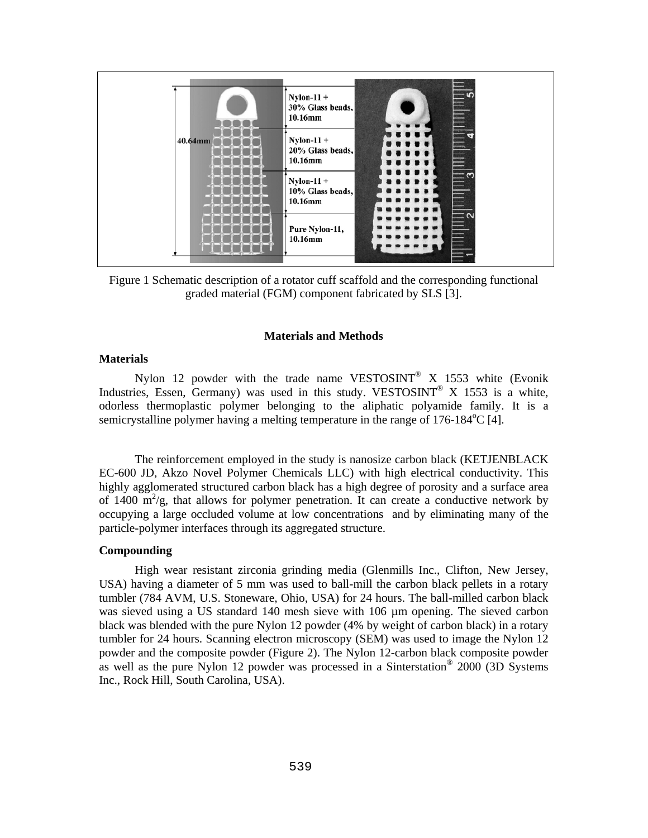

Figure 1 Schematic description of a rotator cuff scaffold and the corresponding functional graded material (FGM) component fabricated by SLS [3].

#### **Materials and Methods**

# **Materials**

Nylon 12 powder with the trade name VESTOSINT<sup>®</sup> X 1553 white (Evonik Industries, Essen, Germany) was used in this study. VESTOSINT<sup>®</sup> X 1553 is a white, odorless thermoplastic polymer belonging to the aliphatic polyamide family. It is a semicrystalline polymer having a melting temperature in the range of 176-184°C [4].

The reinforcement employed in the study is nanosize carbon black (KETJENBLACK EC-600 JD, Akzo Novel Polymer Chemicals LLC) with high electrical conductivity. This highly agglomerated structured carbon black has a high degree of porosity and a surface area of 1400  $\text{m}^2$ /g, that allows for polymer penetration. It can create a conductive network by occupying a large occluded volume at low concentrations and by eliminating many of the particle-polymer interfaces through its aggregated structure.

#### **Compounding**

High wear resistant zirconia grinding media (Glenmills Inc., Clifton, New Jersey, USA) having a diameter of 5 mm was used to ball-mill the carbon black pellets in a rotary tumbler (784 AVM, U.S. Stoneware, Ohio, USA) for 24 hours. The ball-milled carbon black was sieved using a US standard 140 mesh sieve with 106 µm opening. The sieved carbon black was blended with the pure Nylon 12 powder (4% by weight of carbon black) in a rotary tumbler for 24 hours. Scanning electron microscopy (SEM) was used to image the Nylon 12 powder and the composite powder (Figure 2). The Nylon 12-carbon black composite powder as well as the pure Nylon 12 powder was processed in a Sinterstation® 2000 (3D Systems Inc., Rock Hill, South Carolina, USA).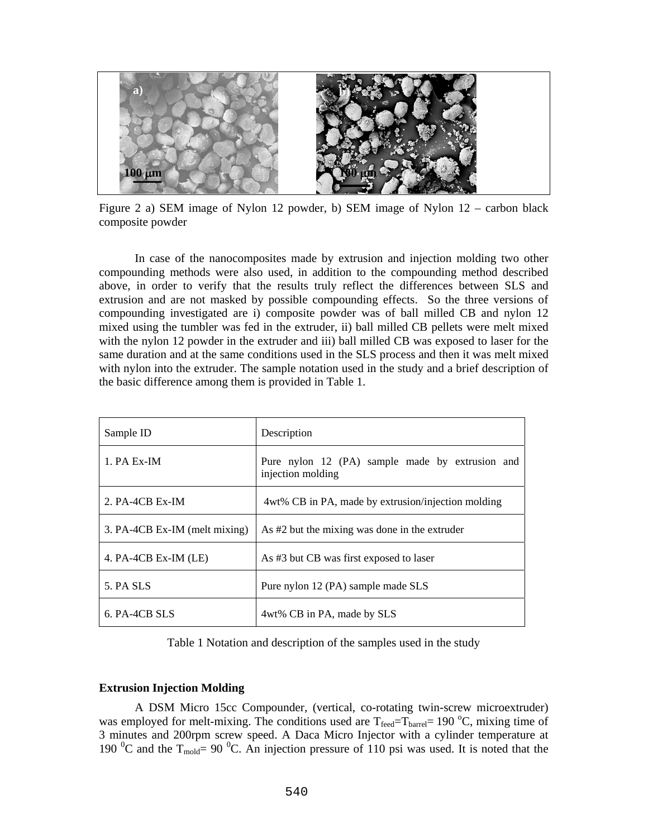

Figure 2 a) SEM image of Nylon 12 powder, b) SEM image of Nylon 12 – carbon black composite powder

In case of the nanocomposites made by extrusion and injection molding two other compounding methods were also used, in addition to the compounding method described above, in order to verify that the results truly reflect the differences between SLS and extrusion and are not masked by possible compounding effects. So the three versions of compounding investigated are i) composite powder was of ball milled CB and nylon 12 mixed using the tumbler was fed in the extruder, ii) ball milled CB pellets were melt mixed with the nylon 12 powder in the extruder and iii) ball milled CB was exposed to laser for the same duration and at the same conditions used in the SLS process and then it was melt mixed with nylon into the extruder. The sample notation used in the study and a brief description of the basic difference among them is provided in Table 1.

| Sample ID                     | Description                                                          |  |  |  |  |
|-------------------------------|----------------------------------------------------------------------|--|--|--|--|
| $1. PA Ex-IM$                 | Pure nylon 12 (PA) sample made by extrusion and<br>injection molding |  |  |  |  |
| $2. PA-4CB Ex-IM$             | 4wt% CB in PA, made by extrusion/injection molding                   |  |  |  |  |
| 3. PA-4CB Ex-IM (melt mixing) | As #2 but the mixing was done in the extruder                        |  |  |  |  |
| 4. $PA-4CB Ex-IM$ (LE)        | As #3 but CB was first exposed to laser                              |  |  |  |  |
| 5. PA SLS                     | Pure nylon 12 (PA) sample made SLS                                   |  |  |  |  |
| 6. PA-4CB SLS                 | 4wt% CB in PA, made by SLS                                           |  |  |  |  |

Table 1 Notation and description of the samples used in the study

## **Extrusion Injection Molding**

A DSM Micro 15cc Compounder, (vertical, co-rotating twin-screw microextruder) was employed for melt-mixing. The conditions used are  $T_{\text{feed}} = T_{\text{barrel}} = 190 \degree C$ , mixing time of 3 minutes and 200rpm screw speed. A Daca Micro Injector with a cylinder temperature at 190  $\rm{^0C}$  and the T<sub>mold</sub>= 90  $\rm{^0C}$ . An injection pressure of 110 psi was used. It is noted that the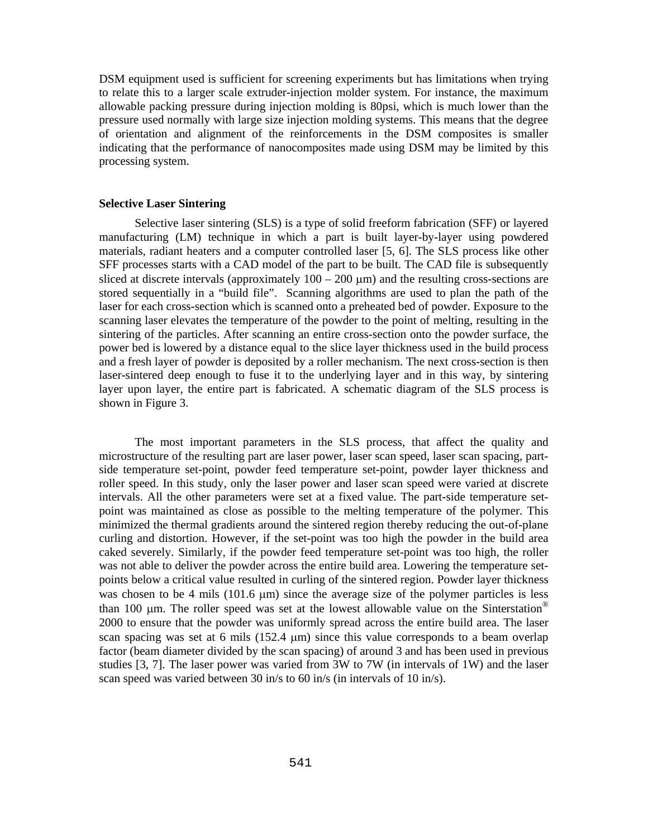DSM equipment used is sufficient for screening experiments but has limitations when trying to relate this to a larger scale extruder-injection molder system. For instance, the maximum allowable packing pressure during injection molding is 80psi, which is much lower than the pressure used normally with large size injection molding systems. This means that the degree of orientation and alignment of the reinforcements in the DSM composites is smaller indicating that the performance of nanocomposites made using DSM may be limited by this processing system.

## **Selective Laser Sintering**

Selective laser sintering (SLS) is a type of solid freeform fabrication (SFF) or layered manufacturing (LM) technique in which a part is built layer-by-layer using powdered materials, radiant heaters and a computer controlled laser [5, 6]. The SLS process like other SFF processes starts with a CAD model of the part to be built. The CAD file is subsequently sliced at discrete intervals (approximately  $100 - 200 \mu m$ ) and the resulting cross-sections are stored sequentially in a "build file". Scanning algorithms are used to plan the path of the laser for each cross-section which is scanned onto a preheated bed of powder. Exposure to the scanning laser elevates the temperature of the powder to the point of melting, resulting in the sintering of the particles. After scanning an entire cross-section onto the powder surface, the power bed is lowered by a distance equal to the slice layer thickness used in the build process and a fresh layer of powder is deposited by a roller mechanism. The next cross-section is then laser-sintered deep enough to fuse it to the underlying layer and in this way, by sintering layer upon layer, the entire part is fabricated. A schematic diagram of the SLS process is shown in Figure 3.

The most important parameters in the SLS process, that affect the quality and microstructure of the resulting part are laser power, laser scan speed, laser scan spacing, partside temperature set-point, powder feed temperature set-point, powder layer thickness and roller speed. In this study, only the laser power and laser scan speed were varied at discrete intervals. All the other parameters were set at a fixed value. The part-side temperature setpoint was maintained as close as possible to the melting temperature of the polymer. This minimized the thermal gradients around the sintered region thereby reducing the out-of-plane curling and distortion. However, if the set-point was too high the powder in the build area caked severely. Similarly, if the powder feed temperature set-point was too high, the roller was not able to deliver the powder across the entire build area. Lowering the temperature setpoints below a critical value resulted in curling of the sintered region. Powder layer thickness was chosen to be 4 mils (101.6  $\mu$ m) since the average size of the polymer particles is less than 100  $\mu$ m. The roller speed was set at the lowest allowable value on the Sinterstation<sup>®</sup> 2000 to ensure that the powder was uniformly spread across the entire build area. The laser scan spacing was set at 6 mils (152.4 μm) since this value corresponds to a beam overlap factor (beam diameter divided by the scan spacing) of around 3 and has been used in previous studies [3, 7]. The laser power was varied from 3W to 7W (in intervals of 1W) and the laser scan speed was varied between 30 in/s to 60 in/s (in intervals of 10 in/s).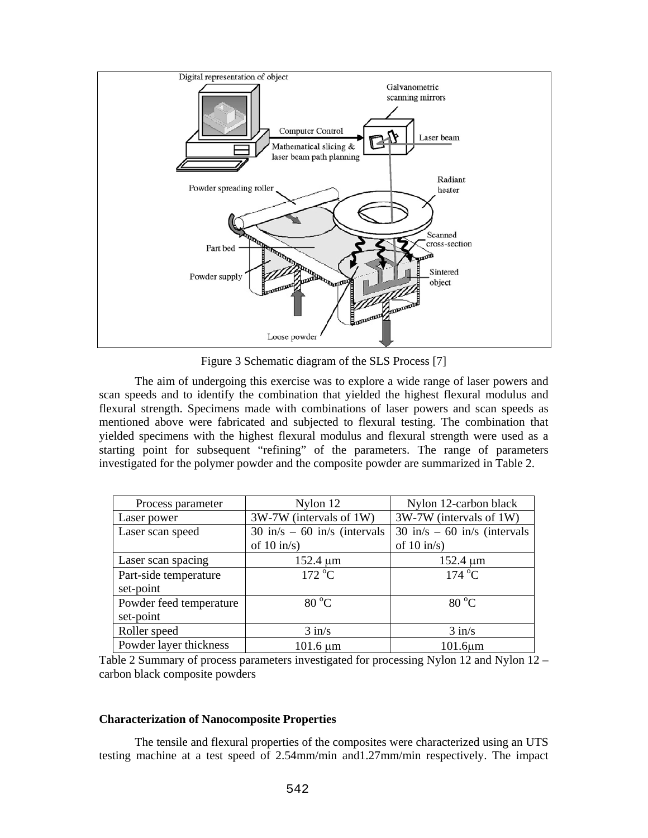

Figure 3 Schematic diagram of the SLS Process [7]

The aim of undergoing this exercise was to explore a wide range of laser powers and scan speeds and to identify the combination that yielded the highest flexural modulus and flexural strength. Specimens made with combinations of laser powers and scan speeds as mentioned above were fabricated and subjected to flexural testing. The combination that yielded specimens with the highest flexural modulus and flexural strength were used as a starting point for subsequent "refining" of the parameters. The range of parameters investigated for the polymer powder and the composite powder are summarized in Table 2.

| Process parameter       | Nylon 12                                       | Nylon 12-carbon black                          |  |  |
|-------------------------|------------------------------------------------|------------------------------------------------|--|--|
| Laser power             | 3W-7W (intervals of 1W)                        | 3W-7W (intervals of 1W)                        |  |  |
| Laser scan speed        | $30 \text{ in/s} - 60 \text{ in/s}$ (intervals | $30 \text{ in/s} - 60 \text{ in/s}$ (intervals |  |  |
|                         | of $10 \text{ in/s}$                           | of $10 \text{ in/s}$                           |  |  |
| Laser scan spacing      | $152.4 \mu m$                                  | $152.4 \mu m$                                  |  |  |
| Part-side temperature   | $172^{\circ}$ C                                | $174\text{ °C}$                                |  |  |
| set-point               |                                                |                                                |  |  |
| Powder feed temperature | $80\,^{\circ}\mathrm{C}$                       | $80\text{ °C}$                                 |  |  |
| set-point               |                                                |                                                |  |  |
| Roller speed            | $3$ in/s                                       | $3$ in/s                                       |  |  |
| Powder layer thickness  | $101.6 \mu m$                                  | $101.6 \mu m$                                  |  |  |

Table 2 Summary of process parameters investigated for processing Nylon 12 and Nylon 12 – carbon black composite powders

## **Characterization of Nanocomposite Properties**

The tensile and flexural properties of the composites were characterized using an UTS testing machine at a test speed of 2.54mm/min and1.27mm/min respectively. The impact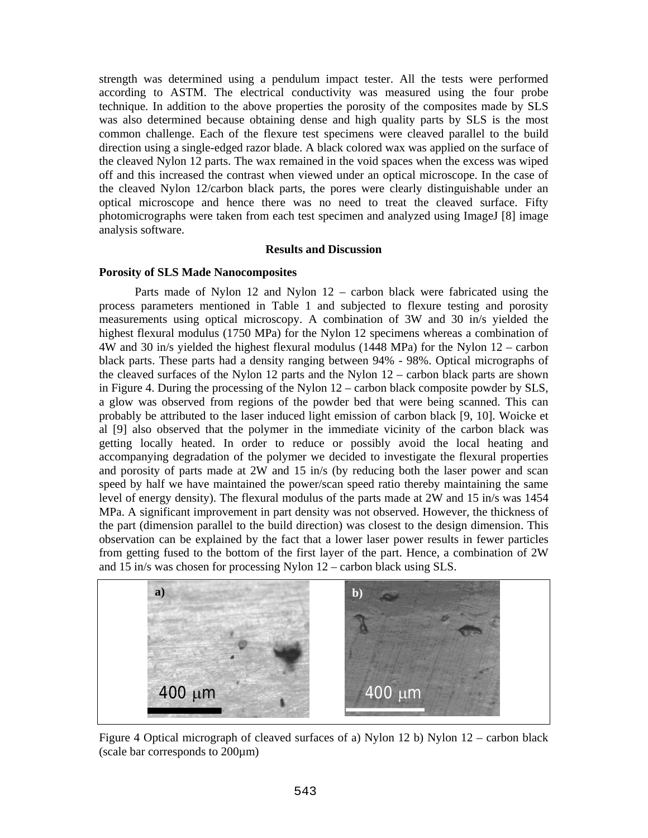strength was determined using a pendulum impact tester. All the tests were performed according to ASTM. The electrical conductivity was measured using the four probe technique. In addition to the above properties the porosity of the composites made by SLS was also determined because obtaining dense and high quality parts by SLS is the most common challenge. Each of the flexure test specimens were cleaved parallel to the build direction using a single-edged razor blade. A black colored wax was applied on the surface of the cleaved Nylon 12 parts. The wax remained in the void spaces when the excess was wiped off and this increased the contrast when viewed under an optical microscope. In the case of the cleaved Nylon 12/carbon black parts, the pores were clearly distinguishable under an optical microscope and hence there was no need to treat the cleaved surface. Fifty photomicrographs were taken from each test specimen and analyzed using ImageJ [8] image analysis software.

# **Results and Discussion**

# **Porosity of SLS Made Nanocomposites**

Parts made of Nylon 12 and Nylon 12 – carbon black were fabricated using the process parameters mentioned in Table 1 and subjected to flexure testing and porosity measurements using optical microscopy. A combination of 3W and 30 in/s yielded the highest flexural modulus (1750 MPa) for the Nylon 12 specimens whereas a combination of 4W and 30 in/s yielded the highest flexural modulus (1448 MPa) for the Nylon 12 – carbon black parts. These parts had a density ranging between 94% - 98%. Optical micrographs of the cleaved surfaces of the Nylon 12 parts and the Nylon 12 – carbon black parts are shown in Figure 4. During the processing of the Nylon 12 – carbon black composite powder by SLS, a glow was observed from regions of the powder bed that were being scanned. This can probably be attributed to the laser induced light emission of carbon black [9, 10]. Woicke et al [9] also observed that the polymer in the immediate vicinity of the carbon black was getting locally heated. In order to reduce or possibly avoid the local heating and accompanying degradation of the polymer we decided to investigate the flexural properties and porosity of parts made at 2W and 15 in/s (by reducing both the laser power and scan speed by half we have maintained the power/scan speed ratio thereby maintaining the same level of energy density). The flexural modulus of the parts made at 2W and 15 in/s was 1454 MPa. A significant improvement in part density was not observed. However, the thickness of the part (dimension parallel to the build direction) was closest to the design dimension. This observation can be explained by the fact that a lower laser power results in fewer particles from getting fused to the bottom of the first layer of the part. Hence, a combination of 2W and 15 in/s was chosen for processing Nylon 12 – carbon black using SLS.



Figure 4 Optical micrograph of cleaved surfaces of a) Nylon 12 b) Nylon 12 – carbon black (scale bar corresponds to 200µm)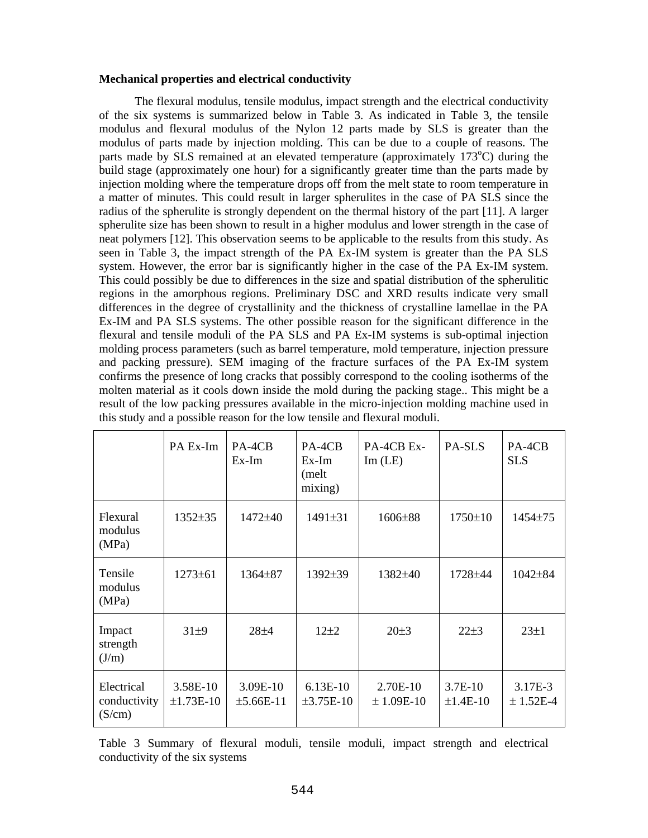## **Mechanical properties and electrical conductivity**

The flexural modulus, tensile modulus, impact strength and the electrical conductivity of the six systems is summarized below in Table 3. As indicated in Table 3, the tensile modulus and flexural modulus of the Nylon 12 parts made by SLS is greater than the modulus of parts made by injection molding. This can be due to a couple of reasons. The parts made by SLS remained at an elevated temperature (approximately 173°C) during the build stage (approximately one hour) for a significantly greater time than the parts made by injection molding where the temperature drops off from the melt state to room temperature in a matter of minutes. This could result in larger spherulites in the case of PA SLS since the radius of the spherulite is strongly dependent on the thermal history of the part [11]. A larger spherulite size has been shown to result in a higher modulus and lower strength in the case of neat polymers [12]. This observation seems to be applicable to the results from this study. As seen in Table 3, the impact strength of the PA Ex-IM system is greater than the PA SLS system. However, the error bar is significantly higher in the case of the PA Ex-IM system. This could possibly be due to differences in the size and spatial distribution of the spherulitic regions in the amorphous regions. Preliminary DSC and XRD results indicate very small differences in the degree of crystallinity and the thickness of crystalline lamellae in the PA Ex-IM and PA SLS systems. The other possible reason for the significant difference in the flexural and tensile moduli of the PA SLS and PA Ex-IM systems is sub-optimal injection molding process parameters (such as barrel temperature, mold temperature, injection pressure and packing pressure). SEM imaging of the fracture surfaces of the PA Ex-IM system confirms the presence of long cracks that possibly correspond to the cooling isotherms of the molten material as it cools down inside the mold during the packing stage.. This might be a result of the low packing pressures available in the micro-injection molding machine used in this study and a possible reason for the low tensile and flexural moduli.

|                                      | PA Ex-Im                | PA-4CB<br>Ex-Im           | PA-4CB<br>Ex-Im<br>(melt)<br>mixing) | PA-4CB Ex-<br>$Im$ (LE)  | PA-SLS                       | PA-4CB<br><b>SLS</b>   |
|--------------------------------------|-------------------------|---------------------------|--------------------------------------|--------------------------|------------------------------|------------------------|
| Flexural<br>modulus<br>(MPa)         | 1352±35                 | 1472±40                   | 1491±31                              | 1606±88                  | $1750 \pm 10$                | 1454±75                |
| Tensile<br>modulus<br>(MPa)          | $1273 \pm 61$           | $1364\pm87$               | $1392 \pm 39$                        | 1382±40                  | 1728±44                      | $1042 \pm 84$          |
| Impact<br>strength<br>(J/m)          | $31\pm9$                | $28 + 4$                  | $12\pm 2$                            | 20±3                     | $22 \pm 3$                   | $23\pm1$               |
| Electrical<br>conductivity<br>(S/cm) | 3.58E-10<br>$±1.73E-10$ | $3.09E-10$<br>$±5.66E-11$ | $6.13E-10$<br>$\pm 3.75E - 10$       | 2.70E-10<br>$± 1.09E-10$ | $3.7E-10$<br>$\pm 1.4E - 10$ | 3.17E-3<br>$± 1.52E-4$ |

Table 3 Summary of flexural moduli, tensile moduli, impact strength and electrical conductivity of the six systems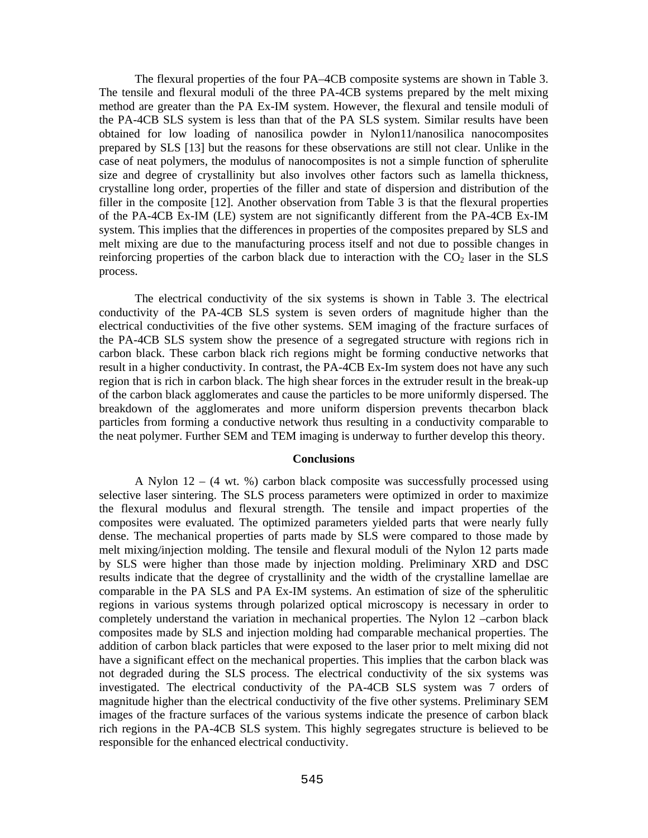The flexural properties of the four PA–4CB composite systems are shown in Table 3. The tensile and flexural moduli of the three PA-4CB systems prepared by the melt mixing method are greater than the PA Ex-IM system. However, the flexural and tensile moduli of the PA-4CB SLS system is less than that of the PA SLS system. Similar results have been obtained for low loading of nanosilica powder in Nylon11/nanosilica nanocomposites prepared by SLS [13] but the reasons for these observations are still not clear. Unlike in the case of neat polymers, the modulus of nanocomposites is not a simple function of spherulite size and degree of crystallinity but also involves other factors such as lamella thickness, crystalline long order, properties of the filler and state of dispersion and distribution of the filler in the composite [12]. Another observation from Table 3 is that the flexural properties of the PA-4CB Ex-IM (LE) system are not significantly different from the PA-4CB Ex-IM system. This implies that the differences in properties of the composites prepared by SLS and melt mixing are due to the manufacturing process itself and not due to possible changes in reinforcing properties of the carbon black due to interaction with the  $CO<sub>2</sub>$  laser in the SLS process.

The electrical conductivity of the six systems is shown in Table 3. The electrical conductivity of the PA-4CB SLS system is seven orders of magnitude higher than the electrical conductivities of the five other systems. SEM imaging of the fracture surfaces of the PA-4CB SLS system show the presence of a segregated structure with regions rich in carbon black. These carbon black rich regions might be forming conductive networks that result in a higher conductivity. In contrast, the PA-4CB Ex-Im system does not have any such region that is rich in carbon black. The high shear forces in the extruder result in the break-up of the carbon black agglomerates and cause the particles to be more uniformly dispersed. The breakdown of the agglomerates and more uniform dispersion prevents thecarbon black particles from forming a conductive network thus resulting in a conductivity comparable to the neat polymer. Further SEM and TEM imaging is underway to further develop this theory.

#### **Conclusions**

A Nylon  $12 - (4 \text{ wt. } %)$  carbon black composite was successfully processed using selective laser sintering. The SLS process parameters were optimized in order to maximize the flexural modulus and flexural strength. The tensile and impact properties of the composites were evaluated. The optimized parameters yielded parts that were nearly fully dense. The mechanical properties of parts made by SLS were compared to those made by melt mixing/injection molding. The tensile and flexural moduli of the Nylon 12 parts made by SLS were higher than those made by injection molding. Preliminary XRD and DSC results indicate that the degree of crystallinity and the width of the crystalline lamellae are comparable in the PA SLS and PA Ex-IM systems. An estimation of size of the spherulitic regions in various systems through polarized optical microscopy is necessary in order to completely understand the variation in mechanical properties. The Nylon 12 –carbon black composites made by SLS and injection molding had comparable mechanical properties. The addition of carbon black particles that were exposed to the laser prior to melt mixing did not have a significant effect on the mechanical properties. This implies that the carbon black was not degraded during the SLS process. The electrical conductivity of the six systems was investigated. The electrical conductivity of the PA-4CB SLS system was 7 orders of magnitude higher than the electrical conductivity of the five other systems. Preliminary SEM images of the fracture surfaces of the various systems indicate the presence of carbon black rich regions in the PA-4CB SLS system. This highly segregates structure is believed to be responsible for the enhanced electrical conductivity.